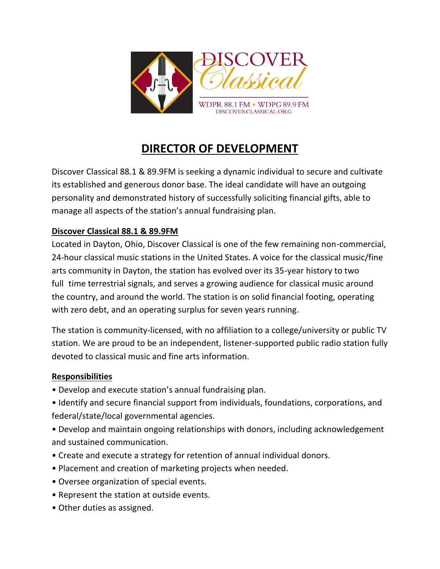

## **DIRECTOR OF DEVELOPMENT**

Discover Classical 88.1 & 89.9FM is seeking a dynamic individual to secure and cultivate its established and generous donor base. The ideal candidate will have an outgoing personality and demonstrated history of successfully soliciting financial gifts, able to manage all aspects of the station's annual fundraising plan.

## **Discover Classical 88.1 & 89.9FM**

Located in Dayton, Ohio, Discover Classical is one of the few remaining non-commercial, 24-hour classical music stations in the United States. A voice for the classical music/fine arts community in Dayton, the station has evolved over its 35-year history to two full time terrestrial signals, and serves a growing audience for classical music around the country, and around the world. The station is on solid financial footing, operating with zero debt, and an operating surplus for seven years running.

The station is community-licensed, with no affiliation to a college/university or public TV station. We are proud to be an independent, listener-supported public radio station fully devoted to classical music and fine arts information.

## **Responsibilities**

- Develop and execute station's annual fundraising plan.
- Identify and secure financial support from individuals, foundations, corporations, and federal/state/local governmental agencies.
- Develop and maintain ongoing relationships with donors, including acknowledgement and sustained communication.
- Create and execute a strategy for retention of annual individual donors.
- Placement and creation of marketing projects when needed.
- Oversee organization of special events.
- Represent the station at outside events.
- Other duties as assigned.